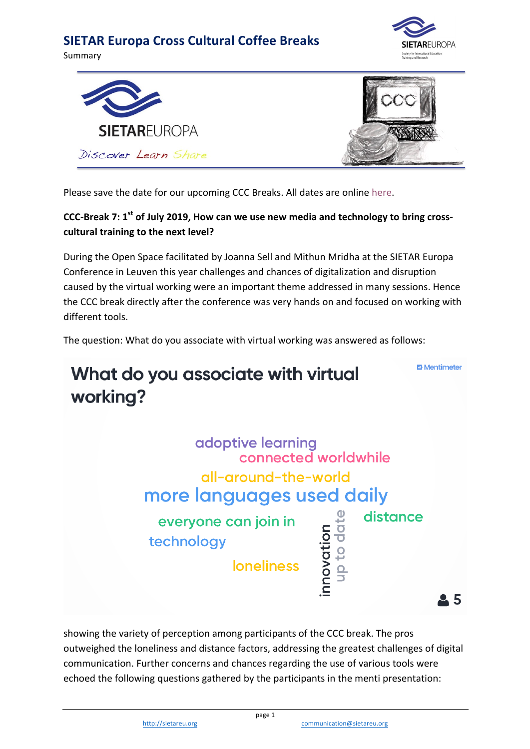Summary







Please save the date for our upcoming CCC Breaks. All dates are online here.

#### CCC-Break 7: 1<sup>st</sup> of July 2019, How can we use new media and technology to bring crosscultural training to the next level?

During the Open Space facilitated by Joanna Sell and Mithun Mridha at the SIETAR Europa Conference in Leuven this year challenges and chances of digitalization and disruption caused by the virtual working were an important theme addressed in many sessions. Hence the CCC break directly after the conference was very hands on and focused on working with different tools.

The question: What do you associate with virtual working was answered as follows:



showing the variety of perception among participants of the CCC break. The pros outweighed the loneliness and distance factors, addressing the greatest challenges of digital communication. Further concerns and chances regarding the use of various tools were echoed the following questions gathered by the participants in the menti presentation: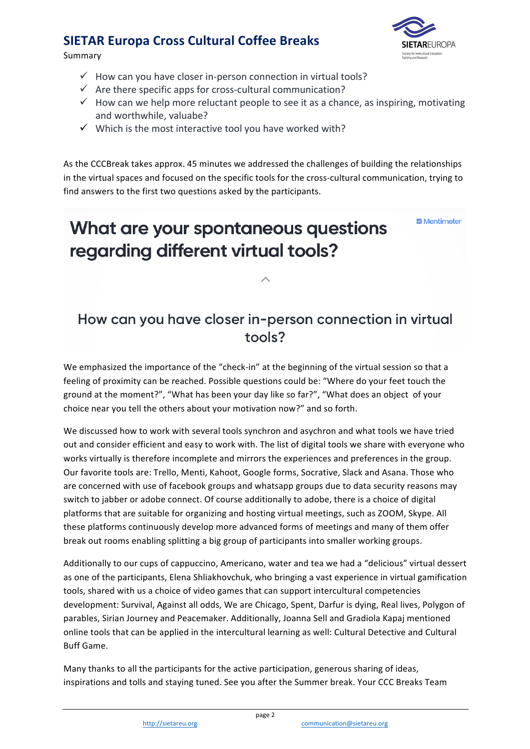Summary



- $\checkmark$  How can you have closer in-person connection in virtual tools?
- $\checkmark$  Are there specific apps for cross-cultural communication?
- $\checkmark$  How can we help more reluctant people to see it as a chance, as inspiring, motivating and worthwhile, valuabe?
- $\checkmark$  Which is the most interactive tool you have worked with?

As the CCCBreak takes approx. 45 minutes we addressed the challenges of building the relationships in the virtual spaces and focused on the specific tools for the cross-cultural communication, trying to find answers to the first two questions asked by the participants.

# What are your spontaneous questions regarding different virtual tools?

**E** Mentimeter

## How can you have closer in-person connection in virtual tools?

We emphasized the importance of the "check-in" at the beginning of the virtual session so that a feeling of proximity can be reached. Possible questions could be: "Where do your feet touch the ground at the moment?", "What has been your day like so far?", "What does an object of your choice near you tell the others about your motivation now?" and so forth.

We discussed how to work with several tools synchron and asychron and what tools we have tried out and consider efficient and easy to work with. The list of digital tools we share with everyone who works virtually is therefore incomplete and mirrors the experiences and preferences in the group. Our favorite tools are: Trello, Menti, Kahoot, Google forms, Socrative, Slack and Asana. Those who are concerned with use of facebook groups and whatsapp groups due to data security reasons may switch to jabber or adobe connect. Of course additionally to adobe, there is a choice of digital platforms that are suitable for organizing and hosting virtual meetings, such as ZOOM, Skype. All these platforms continuously develop more advanced forms of meetings and many of them offer break out rooms enabling splitting a big group of participants into smaller working groups.

Additionally to our cups of cappuccino, Americano, water and tea we had a "delicious" virtual dessert as one of the participants, Elena Shliakhovchuk, who bringing a vast experience in virtual gamification tools, shared with us a choice of video games that can support intercultural competencies development: Survival, Against all odds, We are Chicago, Spent, Darfur is dying, Real lives, Polygon of parables, Sirian Journey and Peacemaker. Additionally, Joanna Sell and Gradiola Kapaj mentioned online tools that can be applied in the intercultural learning as well: Cultural Detective and Cultural **Buff Game.** 

Many thanks to all the participants for the active participation, generous sharing of ideas, inspirations and tolls and staying tuned. See you after the Summer break. Your CCC Breaks Team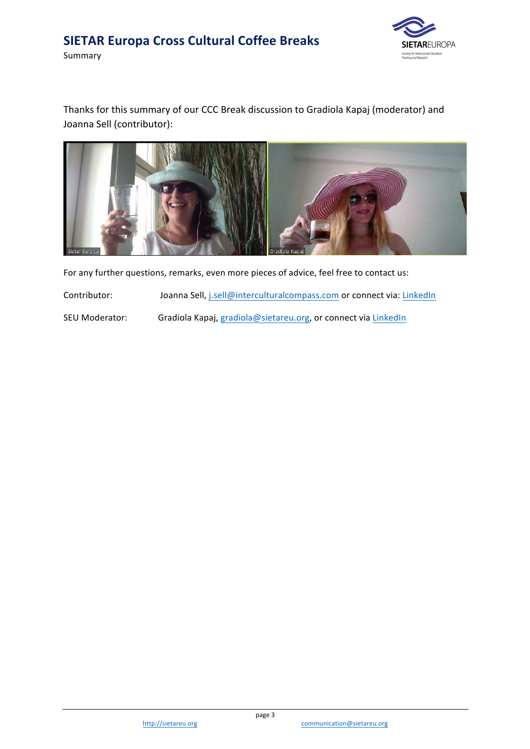Summary



Thanks for this summary of our CCC Break discussion to Gradiola Kapaj (moderator) and Joanna Sell (contributor):



For any further questions, remarks, even more pieces of advice, feel free to contact us:

Contributor: Joanna Sell, j.sell@interculturalcompass.com or connect via: LinkedIn

SEU Moderator: Gradiola Kapaj, gradiola@sietareu.org, or connect via LinkedIn